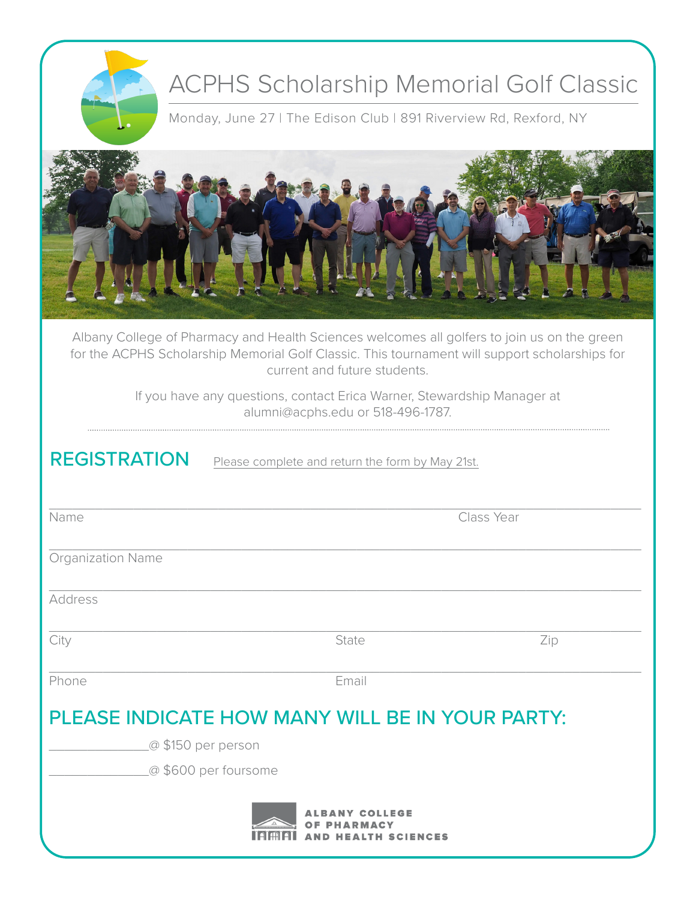|                          | <b>ACPHS Scholarship Memorial Golf Classic</b><br>Monday, June 27   The Edison Club   891 Riverview Rd, Rexford, NY                                                                                                           |     |
|--------------------------|-------------------------------------------------------------------------------------------------------------------------------------------------------------------------------------------------------------------------------|-----|
|                          |                                                                                                                                                                                                                               |     |
|                          | Albany College of Pharmacy and Health Sciences welcomes all golfers to join us on the green<br>for the ACPHS Scholarship Memorial Golf Classic. This tournament will support scholarships for<br>current and future students. |     |
|                          | If you have any questions, contact Erica Warner, Stewardship Manager at<br>alumni@acphs.edu or 518-496-1787.                                                                                                                  |     |
| <b>REGISTRATION</b>      | Please complete and return the form by May 21st.                                                                                                                                                                              |     |
| Name                     | Class Year                                                                                                                                                                                                                    |     |
| <b>Organization Name</b> |                                                                                                                                                                                                                               |     |
| Address                  |                                                                                                                                                                                                                               |     |
| City                     | State                                                                                                                                                                                                                         | Zip |
| Phone                    | Email                                                                                                                                                                                                                         |     |
|                          | PLEASE INDICATE HOW MANY WILL BE IN YOUR PARTY:                                                                                                                                                                               |     |
|                          | @ \$150 per person                                                                                                                                                                                                            |     |
|                          | @\$600 per foursome                                                                                                                                                                                                           |     |
|                          | LLEGE<br><b>ALTH SCIENCES</b>                                                                                                                                                                                                 |     |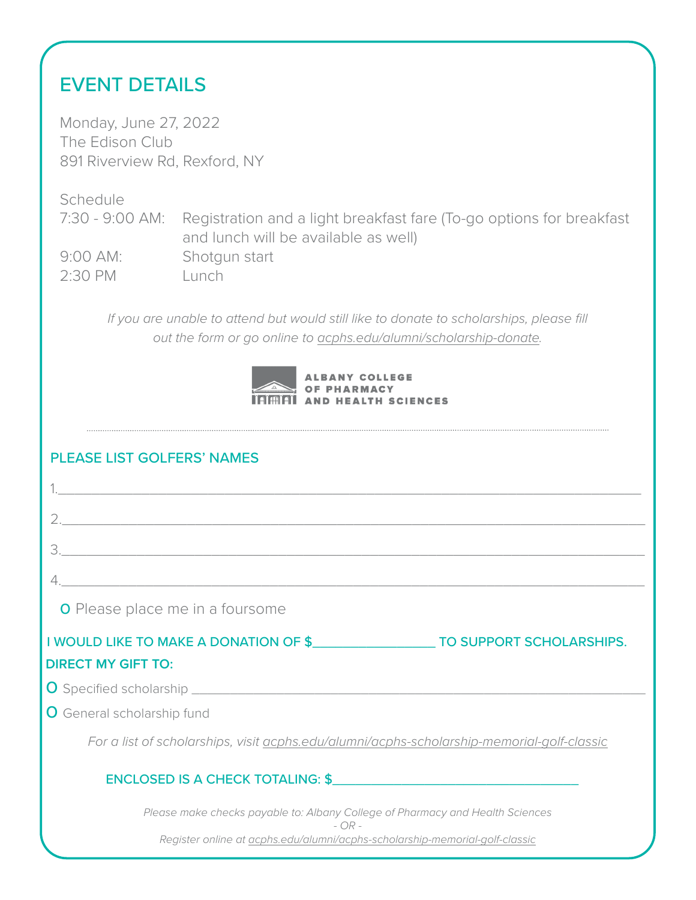# EVENT DETAILS

Monday, June 27, 2022 The Edison Club 891 Riverview Rd, Rexford, NY

**Schedule** 7:30 - 9:00 AM: Registration and a light breakfast fare (To-go options for breakfast and lunch will be available as well) 9:00 AM: Shotgun start 2:30 PM Lunch

*If you are unable to attend but would still like to donate to scholarships, please fill out the form or go online to acphs.edu/alumni/scholarship-donate.*

| <b>ALBANY COLLEGE</b>              |
|------------------------------------|
| <b>SANGE OF PHARMACY</b>           |
| <b>ITIMATI AND HEALTH SCIENCES</b> |

## PLEASE LIST GOLFERS' NAMES

| <b>O</b> Please place me in a foursome                                                     |
|--------------------------------------------------------------------------------------------|
| I WOULD LIKE TO MAKE A DONATION OF \$ TO SUPPORT SCHOLARSHIPS.                             |
| <b>DIRECT MY GIFT TO:</b>                                                                  |
|                                                                                            |
| <b>O</b> General scholarship fund                                                          |
| For a list of scholarships, visit acphs.edu/alumni/acphs-scholarship-memorial-golf-classic |
| ENCLOSED IS A CHECK TOTALING: \$                                                           |
| Please make checks payable to: Albany College of Pharmacy and Health Sciences<br>$- OR -$  |
| Register online at acphs.edu/alumni/acphs-scholarship-memorial-golf-classic                |